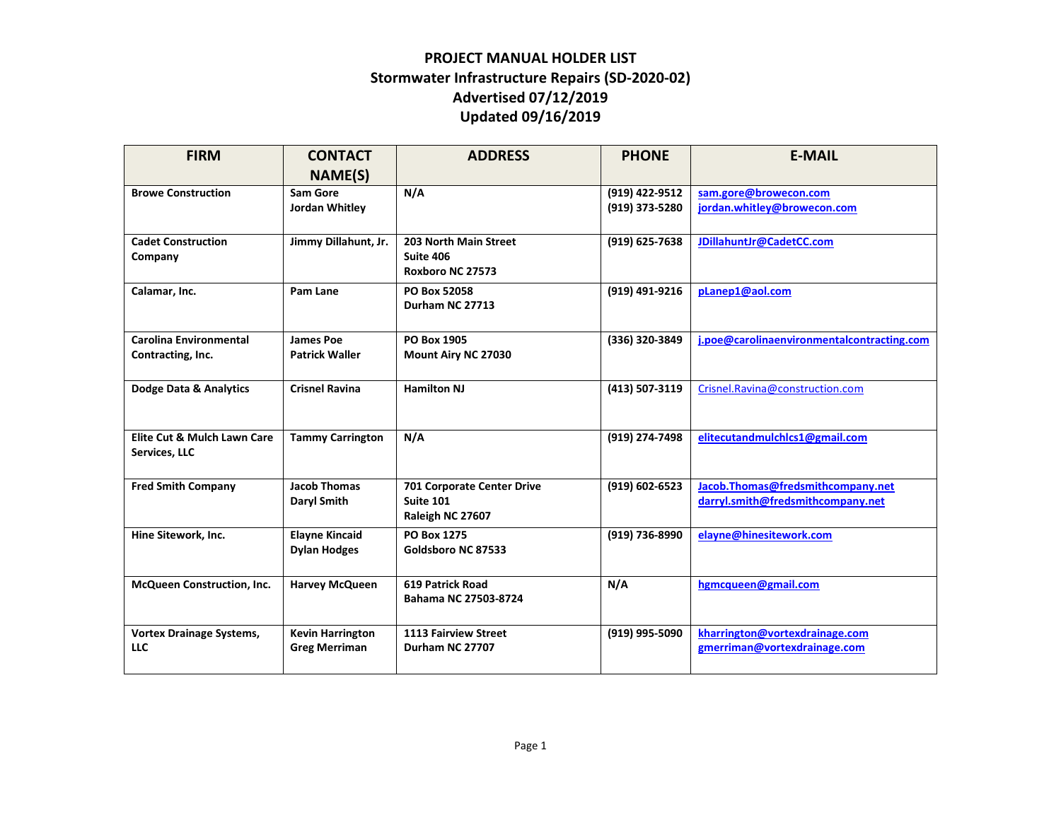## **PROJECT MANUAL HOLDER LIST Stormwater Infrastructure Repairs (SD-2020-02) Advertised 07/12/2019 Updated 09/16/2019**

| <b>FIRM</b>                     | <b>CONTACT</b>          | <b>ADDRESS</b>             | <b>PHONE</b>   | <b>E-MAIL</b>                              |
|---------------------------------|-------------------------|----------------------------|----------------|--------------------------------------------|
|                                 | NAME(S)                 |                            |                |                                            |
| <b>Browe Construction</b>       | <b>Sam Gore</b>         | N/A                        | (919) 422-9512 | sam.gore@browecon.com                      |
|                                 | Jordan Whitley          |                            | (919) 373-5280 | jordan.whitley@browecon.com                |
|                                 |                         |                            |                |                                            |
| <b>Cadet Construction</b>       | Jimmy Dillahunt, Jr.    | 203 North Main Street      | (919) 625-7638 | JDillahuntJr@CadetCC.com                   |
| Company                         |                         | Suite 406                  |                |                                            |
|                                 |                         | Roxboro NC 27573           |                |                                            |
| Calamar, Inc.                   | Pam Lane                | PO Box 52058               | (919) 491-9216 | planep1@aol.com                            |
|                                 |                         | Durham NC 27713            |                |                                            |
|                                 |                         |                            |                |                                            |
| <b>Carolina Environmental</b>   | James Poe               | PO Box 1905                | (336) 320-3849 | j.poe@carolinaenvironmentalcontracting.com |
| Contracting, Inc.               | <b>Patrick Waller</b>   | Mount Airy NC 27030        |                |                                            |
|                                 |                         |                            |                |                                            |
| Dodge Data & Analytics          | <b>Crisnel Ravina</b>   | <b>Hamilton NJ</b>         | (413) 507-3119 | Crisnel.Ravina@construction.com            |
|                                 |                         |                            |                |                                            |
|                                 |                         |                            |                |                                            |
| Elite Cut & Mulch Lawn Care     | <b>Tammy Carrington</b> | N/A                        | (919) 274-7498 | elitecutandmulchlcs1@gmail.com             |
| Services, LLC                   |                         |                            |                |                                            |
|                                 |                         |                            |                |                                            |
| <b>Fred Smith Company</b>       | <b>Jacob Thomas</b>     | 701 Corporate Center Drive | (919) 602-6523 | Jacob.Thomas@fredsmithcompany.net          |
|                                 | Daryl Smith             | Suite 101                  |                | darryl.smith@fredsmithcompany.net          |
|                                 |                         | Raleigh NC 27607           |                |                                            |
| Hine Sitework, Inc.             | <b>Elayne Kincaid</b>   | <b>PO Box 1275</b>         | (919) 736-8990 | elayne@hinesitework.com                    |
|                                 | <b>Dylan Hodges</b>     | Goldsboro NC 87533         |                |                                            |
|                                 |                         |                            |                |                                            |
| McQueen Construction, Inc.      | <b>Harvey McQueen</b>   | 619 Patrick Road           | N/A            | hgmcqueen@gmail.com                        |
|                                 |                         | Bahama NC 27503-8724       |                |                                            |
|                                 |                         |                            |                |                                            |
| <b>Vortex Drainage Systems,</b> | <b>Kevin Harrington</b> | 1113 Fairview Street       | (919) 995-5090 | kharrington@vortexdrainage.com             |
| LLC                             | <b>Greg Merriman</b>    | Durham NC 27707            |                | gmerriman@vortexdrainage.com               |
|                                 |                         |                            |                |                                            |